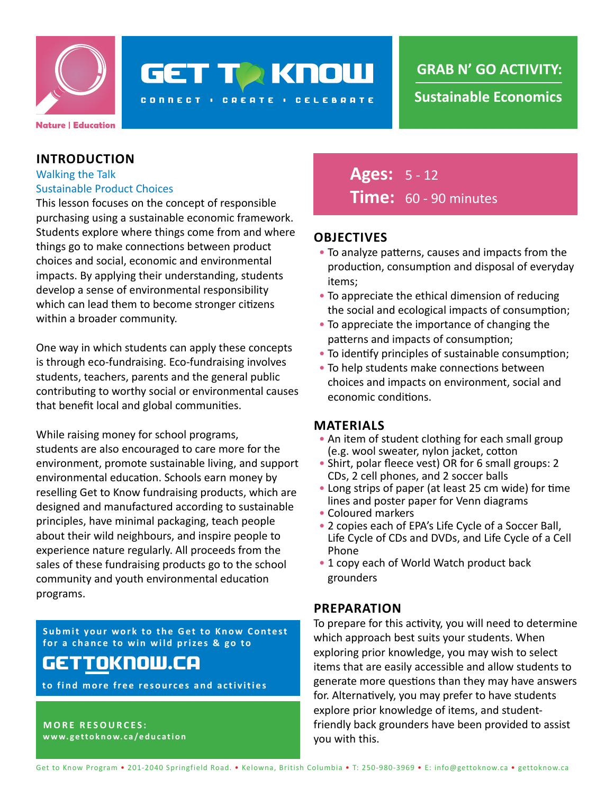

# **GET TO KNOW**

**CONNECT : CREATE : CELEBRATE** 

#### **INTRODUCTION**

#### Walking the Talk Sustainable Product Choices

This lesson focuses on the concept of responsible purchasing using a sustainable economic framework. Students explore where things come from and where things go to make connections between product choices and social, economic and environmental impacts. By applying their understanding, students develop a sense of environmental responsibility which can lead them to become stronger citizens within a broader community.

One way in which students can apply these concepts is through eco-fundraising. Eco-fundraising involves students, teachers, parents and the general public contributing to worthy social or environmental causes that benefit local and global communities.

While raising money for school programs, students are also encouraged to care more for the environment, promote sustainable living, and support environmental education. Schools earn money by reselling Get to Know fundraising products, which are designed and manufactured according to sustainable principles, have minimal packaging, teach people about their wild neighbours, and inspire people to experience nature regularly. All proceeds from the sales of these fundraising products go to the school community and youth environmental education programs.

**Submit your work to the Get to Know Contest for a chance to win wild prizes & go to**

### gettoknow.ca

**to find more free resources and activities**

**MORE RESOURCES: www.gettoknow.ca/education**

### **Ages:** 5 - 12 **Time:** 60 - 90 minutes

#### **OBJECTIVES**

- To analyze patterns, causes and impacts from the production, consumption and disposal of everyday items;
- To appreciate the ethical dimension of reducing the social and ecological impacts of consumption;
- To appreciate the importance of changing the patterns and impacts of consumption;
- To identify principles of sustainable consumption;
- To help students make connections between choices and impacts on environment, social and economic conditions.

#### **MATERIALS**

- An item of student clothing for each small group (e.g. wool sweater, nylon jacket, cotton
- Shirt, polar fleece vest) OR for 6 small groups: 2 CDs, 2 cell phones, and 2 soccer balls
- Long strips of paper (at least 25 cm wide) for time lines and poster paper for Venn diagrams
- Coloured markers
- 2 copies each of EPA's Life Cycle of a Soccer Ball, Life Cycle of CDs and DVDs, and Life Cycle of a Cell Phone
- 1 copy each of World Watch product back grounders

#### **PREPARATION**

To prepare for this activity, you will need to determine which approach best suits your students. When exploring prior knowledge, you may wish to select items that are easily accessible and allow students to generate more questions than they may have answers for. Alternatively, you may prefer to have students explore prior knowledge of items, and studentfriendly back grounders have been provided to assist you with this.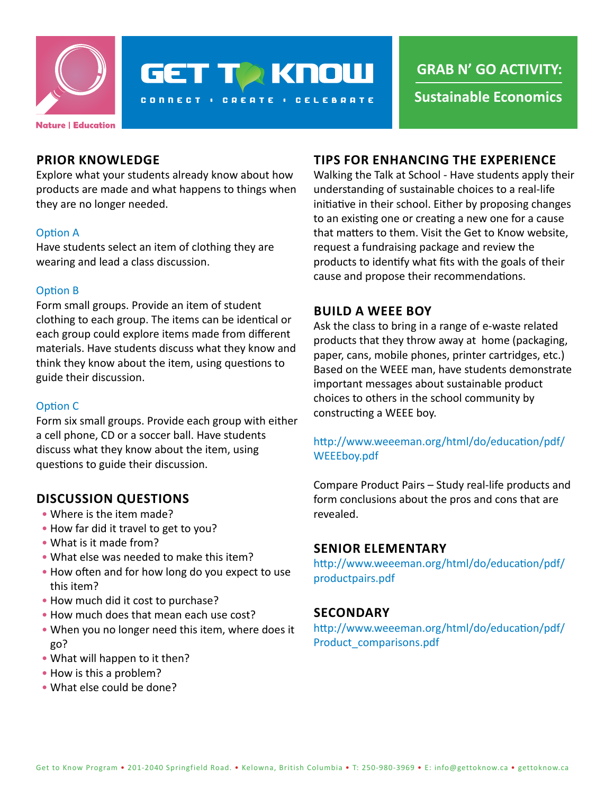

## **GET TO KNOW**

**CONNECT : CREATE : CELEBRATE** 

**GRAB N' GO ACTIVITY:**

**Sustainable Economics**

#### **PRIOR KNOWLEDGE**

Explore what your students already know about how products are made and what happens to things when they are no longer needed.

#### Option A

Have students select an item of clothing they are wearing and lead a class discussion.

#### Option B

Form small groups. Provide an item of student clothing to each group. The items can be identical or each group could explore items made from different materials. Have students discuss what they know and think they know about the item, using questions to guide their discussion.

#### Option C

Form six small groups. Provide each group with either a cell phone, CD or a soccer ball. Have students discuss what they know about the item, using questions to guide their discussion.

#### **DISCUSSION QUESTIONS**

- Where is the item made?
- How far did it travel to get to you?
- What is it made from?
- What else was needed to make this item?
- How often and for how long do you expect to use this item?
- How much did it cost to purchase?
- How much does that mean each use cost?
- When you no longer need this item, where does it go?
- What will happen to it then?
- How is this a problem?
- What else could be done?

#### **TIPS FOR ENHANCING THE EXPERIENCE**

Walking the Talk at School - Have students apply their understanding of sustainable choices to a real-life initiative in their school. Either by proposing changes to an existing one or creating a new one for a cause that matters to them. Visit the Get to Know website, request a fundraising package and review the products to identify what fits with the goals of their cause and propose their recommendations.

#### **BUILD A WEEE BOY**

Ask the class to bring in a range of e-waste related products that they throw away at home (packaging, paper, cans, mobile phones, printer cartridges, etc.) Based on the WEEE man, have students demonstrate important messages about sustainable product choices to others in the school community by constructing a WEEE boy.

#### [http://www.weeeman.org/html/do/education/pdf/](http://www.weeeman.org/html/do/education/pdf/WEEEboy.pdf ) [WEEEboy.pdf](http://www.weeeman.org/html/do/education/pdf/WEEEboy.pdf )

Compare Product Pairs – Study real-life products and form conclusions about the pros and cons that are revealed.

#### **SENIOR ELEMENTARY**

[http://www.weeeman.org/html/do/education/pdf/](http://www.weeeman.org/html/do/education/pdf/productpairs.pdf) [productpairs.pdf](http://www.weeeman.org/html/do/education/pdf/productpairs.pdf)

#### **SECONDARY**

[http://www.weeeman.org/html/do/education/pdf/](http://www.weeeman.org/html/do/education/pdf/Product_comparisons.pdf) [Product\\_comparisons.pdf](http://www.weeeman.org/html/do/education/pdf/Product_comparisons.pdf)